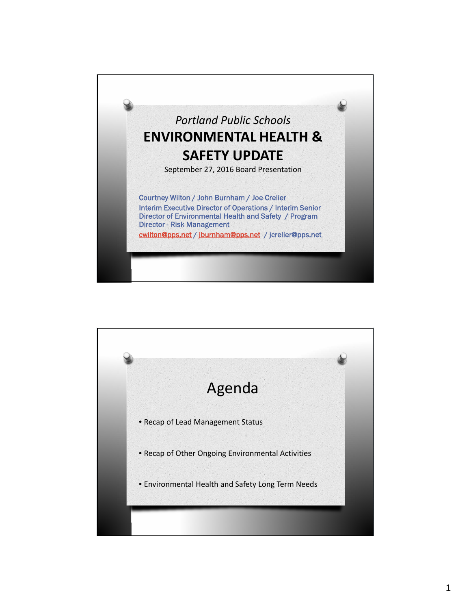

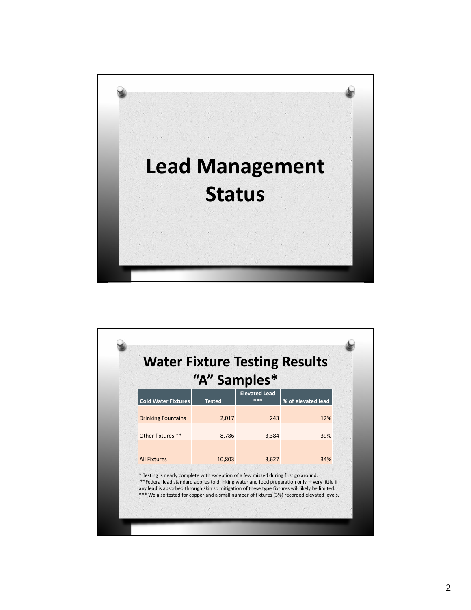

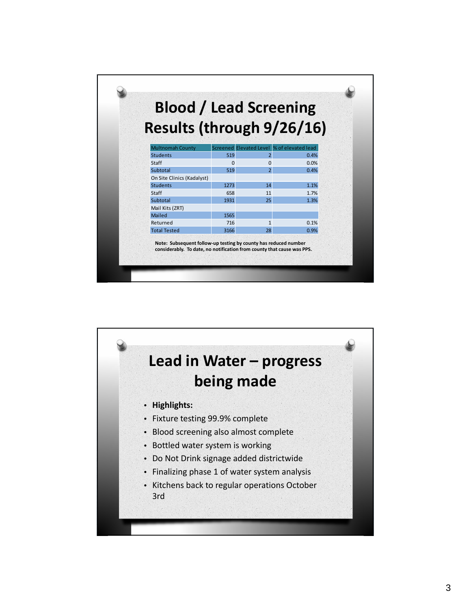| Results (through 9/26/16)  |          |                                            |      |
|----------------------------|----------|--------------------------------------------|------|
|                            |          |                                            |      |
| <b>Multnomah County</b>    |          | Screened Elevated Level % of elevated lead |      |
| <b>Students</b>            | 519      | $\overline{2}$                             | 0.4% |
| Staff                      | $\Omega$ | $\Omega$                                   | 0.0% |
| Subtotal                   | 519      | $\overline{2}$                             | 0.4% |
| On Site Clinics (Kadalyst) |          |                                            |      |
| <b>Students</b>            | 1273     | 14                                         | 1.1% |
| Staff                      | 658      | 11                                         | 1.7% |
| Subtotal                   | 1931     | 25                                         | 1.3% |
| Mail Kits (ZRT)            |          |                                            |      |
| Mailed                     | 1565     |                                            |      |
| Returned                   | 716      | $\mathbf{1}$                               | 0.1% |
| <b>Total Tested</b>        | 3166     | 28                                         | 0.9% |

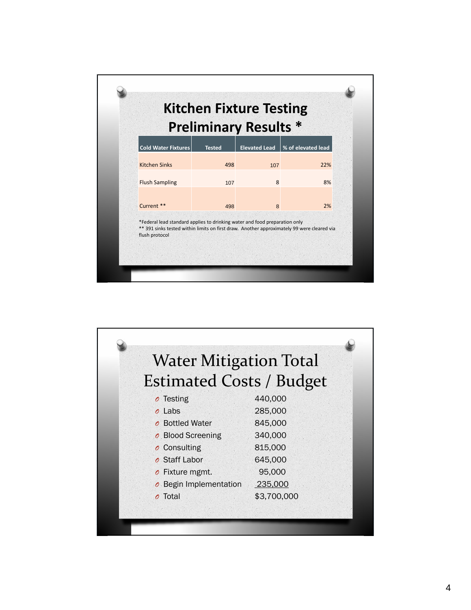| <b>Preliminary Results *</b>                                                                                                                                                               |               |                      |                    |
|--------------------------------------------------------------------------------------------------------------------------------------------------------------------------------------------|---------------|----------------------|--------------------|
| <b>Cold Water Fixtures</b>                                                                                                                                                                 | <b>Tested</b> | <b>Elevated Lead</b> | % of elevated lead |
| <b>Kitchen Sinks</b>                                                                                                                                                                       | 498           | 107                  | 22%                |
| <b>Flush Sampling</b>                                                                                                                                                                      | 107           | 8                    | 8%                 |
| Current **                                                                                                                                                                                 | 498           | 8                    | 2%                 |
| *Federal lead standard applies to drinking water and food preparation only<br>** 391 sinks tested within limits on first draw. Another approximately 99 were cleared via<br>flush protocol |               |                      |                    |

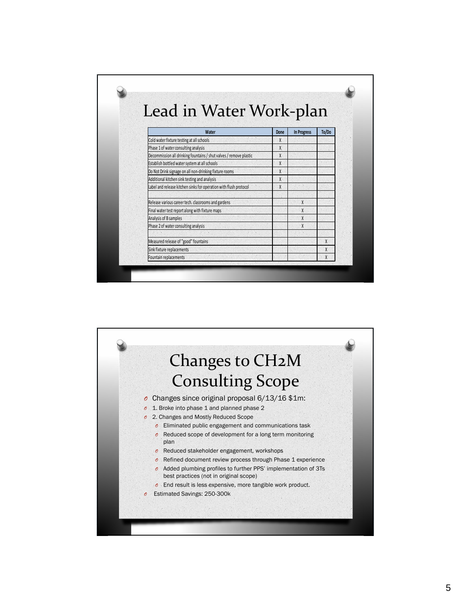| Lead in Water Work-plan                                            |      |                    |       |
|--------------------------------------------------------------------|------|--------------------|-------|
|                                                                    |      |                    |       |
| Water                                                              | Done | <b>In Progress</b> | To/Do |
| Cold water fixture testing at all schools                          | X    |                    |       |
| Phase 1 of water consulting analysis                               | X    |                    |       |
| Decommission all drinking fountains / shut valves / remove plastic | X    |                    |       |
| Establish bottled water system at all schools                      | X    |                    |       |
| Do Not Drink signage on all non-drinking fixture rooms             | X    |                    |       |
| Additional kitchen sink testing and analysis                       | X    |                    |       |
| Label and release kitchen sinks for operation with flush protocol  | X    |                    |       |
| Release various career tech. classrooms and gardens                |      | X                  |       |
| Final water test report along with fixture maps                    |      | X                  |       |
| Analysis of B samples                                              |      | $\mathsf{X}$       |       |
| Phase 2 of water consulting analysis                               |      | X                  |       |
|                                                                    |      |                    |       |
| Measured release of "good" fountains                               |      |                    | X     |
| Sink fixture replacements                                          |      |                    | X     |
| Fountain replacements                                              |      |                    | X     |

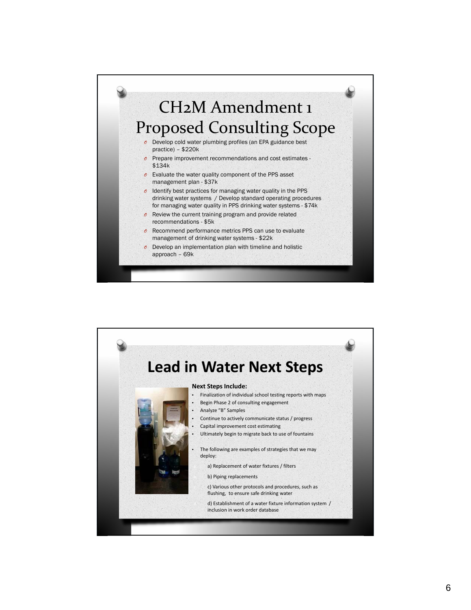

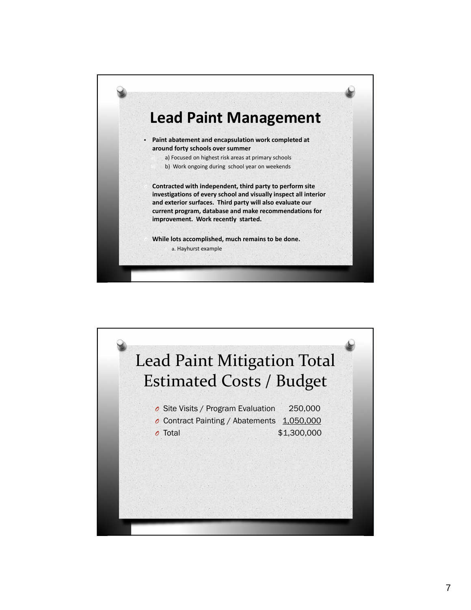

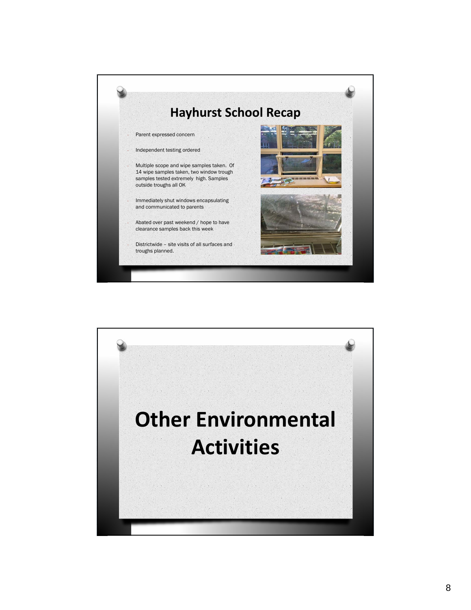

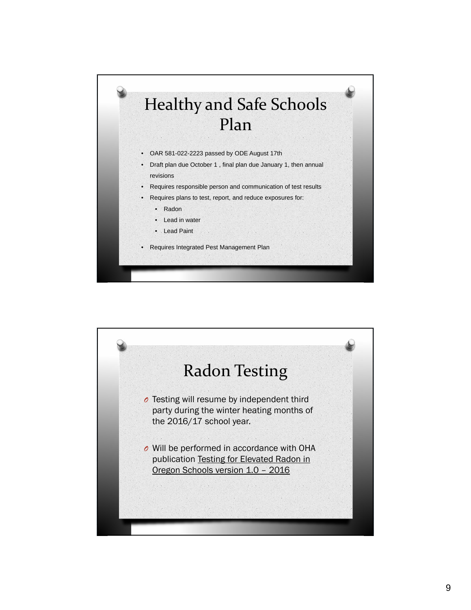

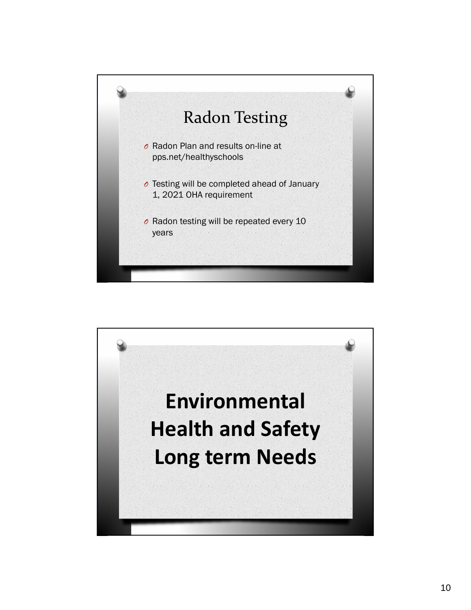

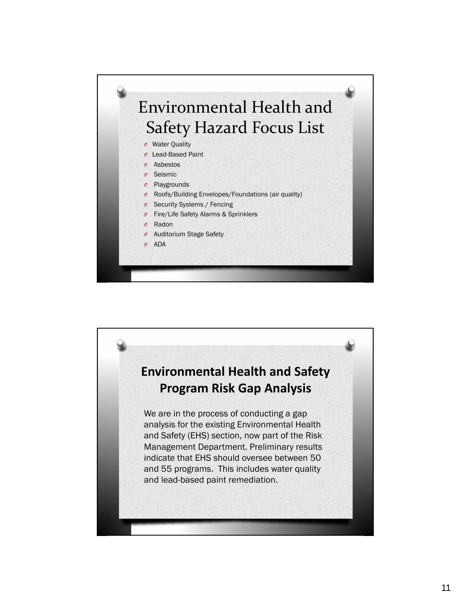

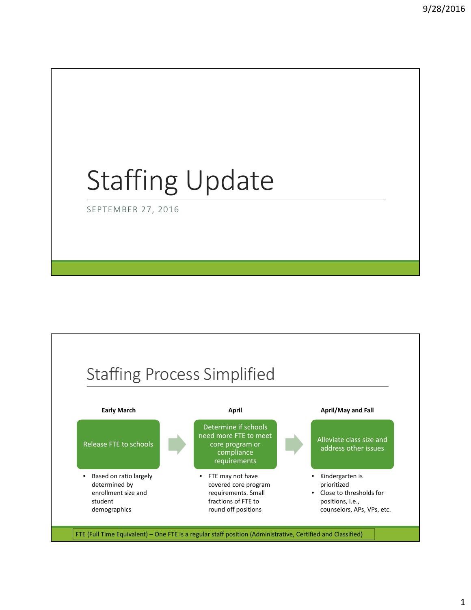# Staffing Update

SEPTEMBER 27, 2016

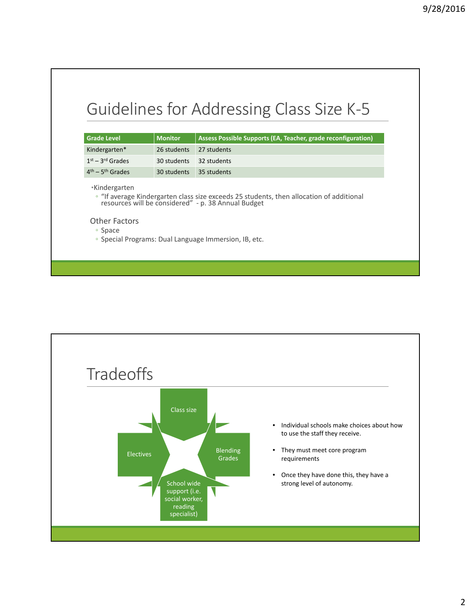| <b>Grade Level</b>                                                                                                                                                                                                                                                   | <b>Monitor</b> | Assess Possible Supports (EA, Teacher, grade reconfiguration) |
|----------------------------------------------------------------------------------------------------------------------------------------------------------------------------------------------------------------------------------------------------------------------|----------------|---------------------------------------------------------------|
| Kindergarten*                                                                                                                                                                                                                                                        | 26 students    | 27 students                                                   |
| $1st - 3rd$ Grades                                                                                                                                                                                                                                                   | 30 students    | 32 students                                                   |
| $4th - 5th$ Grades                                                                                                                                                                                                                                                   | 30 students    | 35 students                                                   |
| *Kindergarten<br>• "If average Kindergarten class size exceeds 25 students, then allocation of additional resources will be considered" - p. 38 Annual Budget<br><b>Other Factors</b><br>∘ Space<br><sup>o</sup> Special Programs: Dual Language Immersion, IB, etc. |                |                                                               |

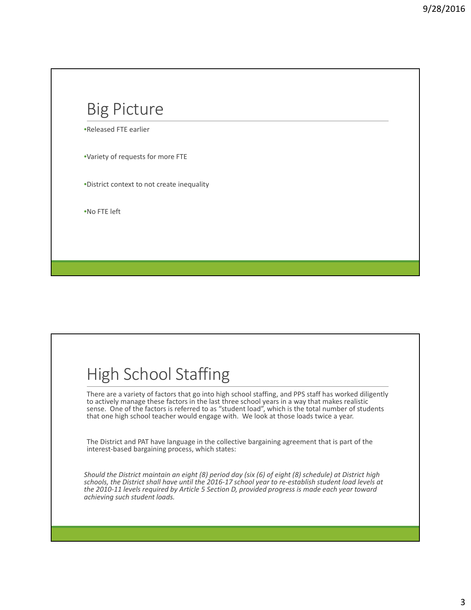### Big Picture

•Released FTE earlier

•Variety of requests for more FTE

•District context to not create inequality

•No FTE left

## High School Staffing

There are a variety of factors that go into high school staffing, and PPS staff has worked diligently to actively manage these factors in the last three school years in a way that makes realistic sense. One of the factors is referred to as "student load", which is the total number of students that one high school teacher would engage with. We look at those loads twice a year.

The District and PAT have language in the collective bargaining agreement that is part of the interest-based bargaining process, which states:

Should the District maintain an eight (8) period day (six (6) of eight (8) schedule) at District high schools, the District shall have until the 2016-17 school year to re-establish student load levels at *the 2010‐11 levels required by Article 5 Section D, provided progress is made each year toward achieving such student loads.*